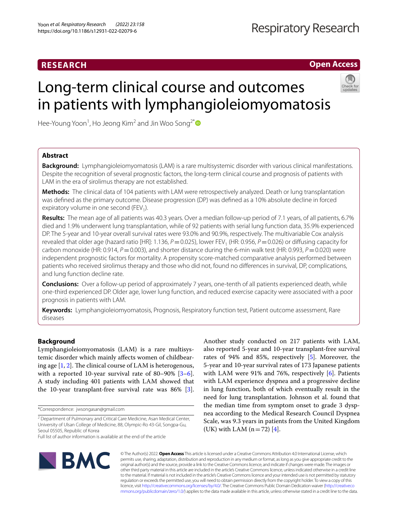# **RESEARCH**

**Open Access**

# Long-term clinical course and outcomes in patients with lymphangioleiomyomatosis



Hee-Young Yoon<sup>1</sup>, Ho Jeong Kim<sup>2</sup> and Jin Woo Song<sup>2\*</sup>

# **Abstract**

**Background:** Lymphangioleiomyomatosis (LAM) is a rare multisystemic disorder with various clinical manifestations. Despite the recognition of several prognostic factors, the long-term clinical course and prognosis of patients with LAM in the era of sirolimus therapy are not established.

**Methods:** The clinical data of 104 patients with LAM were retrospectively analyzed. Death or lung transplantation was defned as the primary outcome. Disease progression (DP) was defned as a 10% absolute decline in forced expiratory volume in one second (FEV<sub>1</sub>).

Results: The mean age of all patients was 40.3 years. Over a median follow-up period of 7.1 years, of all patients, 6.7% died and 1.9% underwent lung transplantation, while of 92 patients with serial lung function data, 35.9% experienced DP. The 5-year and 10-year overall survival rates were 93.0% and 90.9%, respectively. The multivariable Cox analysis revealed that older age (hazard ratio [HR]: 1.136,  $P = 0.025$ ), lower FEV<sub>1</sub> (HR: 0.956,  $P = 0.026$ ) or diffusing capacity for carbon monoxide (HR: 0.914, *P*=0.003), and shorter distance during the 6-min walk test (HR: 0.993, *P*=0.020) were independent prognostic factors for mortality. A propensity score-matched comparative analysis performed between patients who received sirolimus therapy and those who did not, found no diferences in survival, DP, complications, and lung function decline rate.

**Conclusions:** Over a follow-up period of approximately 7 years, one-tenth of all patients experienced death, while one-third experienced DP. Older age, lower lung function, and reduced exercise capacity were associated with a poor prognosis in patients with LAM.

**Keywords:** Lymphangioleiomyomatosis, Prognosis, Respiratory function test, Patient outcome assessment, Rare diseases

# **Background**

Lymphangioleiomyomatosis (LAM) is a rare multisystemic disorder which mainly afects women of childbearing age  $[1, 2]$  $[1, 2]$  $[1, 2]$ . The clinical course of LAM is heterogenous, with a reported 10-year survival rate of 80–90% [\[3](#page-7-2)[–6](#page-7-3)]. A study including 401 patients with LAM showed that the 10-year transplant-free survival rate was 86% [\[3](#page-7-2)].

\*Correspondence: jwsongasan@gmail.com

Another study conducted on 217 patients with LAM, also reported 5-year and 10-year transplant-free survival rates of 94% and 85%, respectively [[5\]](#page-7-4). Moreover, the 5-year and 10-year survival rates of 173 Japanese patients with LAM were 91% and 76%, respectively [[6\]](#page-7-3). Patients with LAM experience dyspnea and a progressive decline in lung function, both of which eventually result in the need for lung transplantation. Johnson et al. found that the median time from symptom onset to grade 3 dyspnea according to the Medical Research Council Dyspnea Scale, was 9.3 years in patients from the United Kingdom (UK) with LAM  $(n=72)$  [[4\]](#page-7-5).



© The Author(s) 2022. **Open Access** This article is licensed under a Creative Commons Attribution 4.0 International License, which permits use, sharing, adaptation, distribution and reproduction in any medium or format, as long as you give appropriate credit to the original author(s) and the source, provide a link to the Creative Commons licence, and indicate if changes were made. The images or other third party material in this article are included in the article's Creative Commons licence, unless indicated otherwise in a credit line to the material. If material is not included in the article's Creative Commons licence and your intended use is not permitted by statutory regulation or exceeds the permitted use, you will need to obtain permission directly from the copyright holder. To view a copy of this licence, visit [http://creativecommons.org/licenses/by/4.0/.](http://creativecommons.org/licenses/by/4.0/) The Creative Commons Public Domain Dedication waiver ([http://creativeco](http://creativecommons.org/publicdomain/zero/1.0/) [mmons.org/publicdomain/zero/1.0/](http://creativecommons.org/publicdomain/zero/1.0/)) applies to the data made available in this article, unless otherwise stated in a credit line to the data.

<sup>&</sup>lt;sup>2</sup> Department of Pulmonary and Critical Care Medicine, Asan Medical Center, University of Ulsan College of Medicine, 88, Olympic‑Ro 43‑Gil, Songpa‑Gu, Seoul 05505, Republic of Korea

Full list of author information is available at the end of the article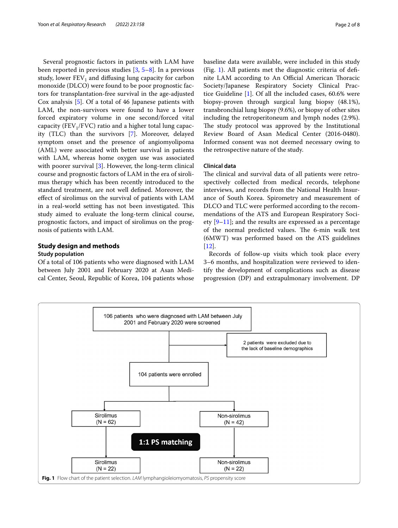Several prognostic factors in patients with LAM have been reported in previous studies [[3,](#page-7-2) [5–](#page-7-4)[8\]](#page-7-6). In a previous study, lower  $FEV_1$  and diffusing lung capacity for carbon monoxide (DLCO) were found to be poor prognostic factors for transplantation-free survival in the age-adjusted Cox analysis [[5\]](#page-7-4). Of a total of 46 Japanese patients with LAM, the non-survivors were found to have a lower forced expiratory volume in one second/forced vital capacity (FEV<sub>1</sub>/FVC) ratio and a higher total lung capacity (TLC) than the survivors [\[7](#page-7-7)]. Moreover, delayed symptom onset and the presence of angiomyolipoma (AML) were associated with better survival in patients with LAM, whereas home oxygen use was associated with poorer survival [[3\]](#page-7-2). However, the long-term clinical course and prognostic factors of LAM in the era of sirolimus therapy which has been recently introduced to the standard treatment, are not well defned. Moreover, the efect of sirolimus on the survival of patients with LAM in a real-world setting has not been investigated. This study aimed to evaluate the long-term clinical course, prognostic factors, and impact of sirolimus on the prognosis of patients with LAM.

# **Study design and methods**

# **Study population**

Of a total of 106 patients who were diagnosed with LAM between July 2001 and February 2020 at Asan Medical Center, Seoul, Republic of Korea, 104 patients whose baseline data were available, were included in this study (Fig. [1](#page-1-0)). All patients met the diagnostic criteria of defnite LAM according to An Official American Thoracic Society/Japanese Respiratory Society Clinical Practice Guideline [\[1](#page-7-0)]. Of all the included cases, 60.6% were biopsy-proven through surgical lung biopsy (48.1%), transbronchial lung biopsy (9.6%), or biopsy of other sites including the retroperitoneum and lymph nodes (2.9%). The study protocol was approved by the Institutional Review Board of Asan Medical Center (2016-0480). Informed consent was not deemed necessary owing to the retrospective nature of the study.

# **Clinical data**

The clinical and survival data of all patients were retrospectively collected from medical records, telephone interviews, and records from the National Health Insurance of South Korea. Spirometry and measurement of DLCO and TLC were performed according to the recommendations of the ATS and European Respiratory Society [\[9](#page-7-8)–[11\]](#page-7-9); and the results are expressed as a percentage of the normal predicted values. The 6-min walk test (6MWT) was performed based on the ATS guidelines [[12\]](#page-7-10).

Records of follow-up visits which took place every 3–6 months, and hospitalization were reviewed to identify the development of complications such as disease progression (DP) and extrapulmonary involvement. DP

<span id="page-1-0"></span>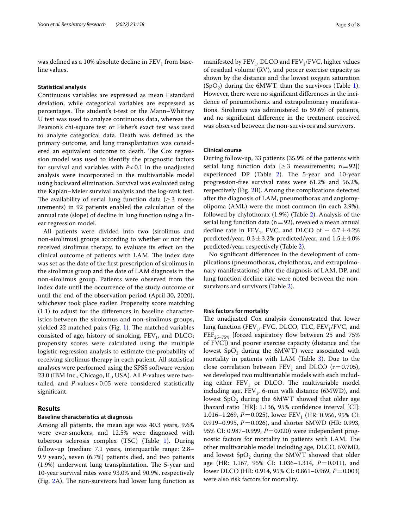was defined as a 10% absolute decline in  $FEV<sub>1</sub>$  from baseline values.

#### **Statistical analysis**

Continuous variables are expressed as mean±standard deviation, while categorical variables are expressed as percentages. The student's t-test or the Mann–Whitney U test was used to analyze continuous data, whereas the Pearson's chi-square test or Fisher's exact test was used to analyze categorical data. Death was defned as the primary outcome, and lung transplantation was considered an equivalent outcome to death. The Cox regression model was used to identify the prognostic factors for survival and variables with  $P < 0.1$  in the unadjusted analysis were incorporated in the multivariable model using backward elimination. Survival was evaluated using the Kaplan–Meier survival analysis and the log-rank test. The availability of serial lung function data ( $\geq$  3 measurements) in 92 patients enabled the calculation of the annual rate (slope) of decline in lung function using a linear regression model.

All patients were divided into two (sirolimus and non-sirolimus) groups according to whether or not they received sirolimus therapy, to evaluate its efect on the clinical outcome of patients with LAM. The index date was set as the date of the frst prescription of sirolimus in the sirolimus group and the date of LAM diagnosis in the non-sirolimus group. Patients were observed from the index date until the occurrence of the study outcome or until the end of the observation period (April 30, 2020), whichever took place earlier. Propensity score matching (1:1) to adjust for the diferences in baseline characteristics between the sirolomus and non-sirolimus groups, yielded 22 matched pairs (Fig.  $1$ ). The matched variables consisted of age, history of smoking,  $FEV_1$ , and DLCO; propensity scores were calculated using the multiple logistic regression analysis to estimate the probability of receiving sirolimus therapy in each patient. All statistical analyses were performed using the SPSS software version 23.0 (IBM Inc., Chicago, IL, USA). All *P*-values were twotailed, and *P*-values<0.05 were considered statistically signifcant.

# **Results**

# **Baseline characteristics at diagnosis**

Among all patients, the mean age was 40.3 years, 9.6% were ever-smokers, and 12.5% were diagnosed with tuberous sclerosis complex (TSC) (Table [1](#page-3-0)). During follow-up (median: 7.1 years, interquartile range: 2.8– 9.9 years), seven (6.7%) patients died, and two patients  $(1.9%)$  underwent lung transplantation. The 5-year and 10-year survival rates were 93.0% and 90.9%, respectively (Fig.  $2A$ ). The non-survivors had lower lung function as manifested by  $FEV<sub>1</sub>$ , DLCO and  $FEV<sub>1</sub>/FVC$ , higher values of residual volume (RV), and poorer exercise capacity as shown by the distance and the lowest oxygen saturation  $(SpO<sub>2</sub>)$  during the 6MWT, than the survivors (Table [1](#page-3-0)). However, there were no signifcant diferences in the incidence of pneumothorax and extrapulmonary manifestations. Sirolimus was administered to 59.6% of patients, and no signifcant diference in the treatment received was observed between the non-survivors and survivors.

#### **Clinical course**

During follow-up, 33 patients (35.9% of the patients with serial lung function data  $[\geq 3$  measurements; n=92]) experienced DP (Table [2](#page-4-0)). The 5-year and 10-year progression-free survival rates were 61.2% and 56.2%, respectively (Fig. [2](#page-3-1)B). Among the complications detected after the diagnosis of LAM, pneumothorax and angiomyolipoma (AML) were the most common (in each 2.9%), followed by chylothorax (1.9%) (Table [2\)](#page-4-0). Analysis of the serial lung function data ( $n=92$ ), revealed a mean annual decline rate in FEV<sub>1</sub>, FVC, and DLCO of  $-0.7 \pm 4.2\%$ predicted/year,  $0.3 \pm 3.2$ % predicted/year, and  $1.5 \pm 4.0$ % predicted/year, respectively (Table [2\)](#page-4-0).

No signifcant diferences in the development of complications (pneumothorax, chylothorax, and extrapulmonary manifestations) after the diagnosis of LAM, DP, and lung function decline rate were noted between the nonsurvivors and survivors (Table [2](#page-4-0)).

#### **Risk factors for mortality**

The unadjusted Cox analysis demonstrated that lower lung function (FEV<sub>1</sub>, FVC, DLCO, TLC, FEV<sub>1</sub>/FVC, and  $FEF_{25-75\%}$  [forced expiratory flow between 25 and 75% of FVC]) and poorer exercise capacity (distance and the lowest  $SpO<sub>2</sub>$  during the 6MWT) were associated with mortality in patients with LAM (Table [3](#page-4-1)). Due to the close correlation between  $FEV_1$  and DLCO (r = 0.705), we developed two multivariable models with each including either  $FEV<sub>1</sub>$  or DLCO. The multivariable model including age,  $FEV_1$ , 6-min walk distance (6MWD), and lowest  $SpO<sub>2</sub>$  during the  $6MWT$  showed that older age (hazard ratio [HR]: 1.136, 95% confdence interval [CI]: 1.016–1.269, *P*=0.025), lower FEV<sub>1</sub> (HR: 0.956, 95% CI: 0.919–0.995, *P*=0.026), and shorter 6MWD (HR: 0.993, 95% CI: 0.987–0.999, *P*=0.020) were independent prognostic factors for mortality in patients with LAM. The other multivariable model including age, DLCO, 6WMD, and lowest  $SpO<sub>2</sub>$  during the 6MWT showed that older age (HR: 1.167, 95% CI: 1.036–1.314, *P*=0.011), and lower DLCO (HR: 0.914, 95% CI: 0.861–0.969, *P*=0.003) were also risk factors for mortality.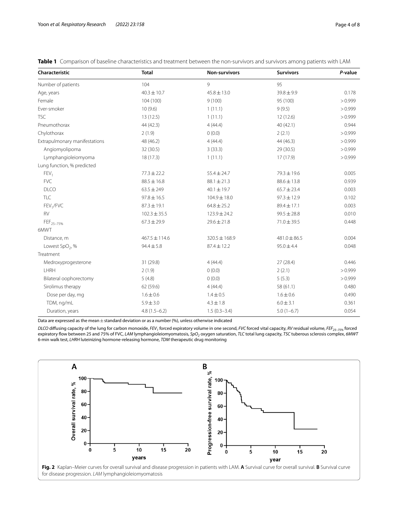| Characteristic                | <b>Total</b>      | Non-survivors     | <b>Survivors</b> | P-value |
|-------------------------------|-------------------|-------------------|------------------|---------|
| Number of patients            | 104               | $\mathsf{Q}$      | 95               |         |
| Age, years                    | $40.3 \pm 10.7$   | $45.8 \pm 13.0$   | $39.8 \pm 9.9$   | 0.178   |
| Female                        | 104 (100)         | 9(100)            | 95 (100)         | >0.999  |
| Ever-smoker                   | 10(9.6)           | 1(11.1)           | 9(9.5)           | > 0.999 |
| <b>TSC</b>                    | 13(12.5)          | 1(11.1)           | 12(12.6)         | >0.999  |
| Pneumothorax                  | 44 (42.3)         | 4(44.4)           | 40 (42.1)        | 0.944   |
| Chylothorax                   | 2(1.9)            | 0(0.0)            | 2(2.1)           | >0.999  |
| Extrapulmonary manifestations | 48 (46.2)         | 4(44.4)           | 44 (46.3)        | > 0.999 |
| Angiomyolipoma                | 32 (30.5)         | 3(33.3)           | 29 (30.5)        | > 0.999 |
| Lymphangioleiomyoma           | 18(17.3)          | 1(11.1)           | 17 (17.9)        | >0.999  |
| Lung function, % predicted    |                   |                   |                  |         |
| FEV <sub>1</sub>              | $77.3 \pm 22.2$   | $55.4 \pm 24.7$   | 79.3 ± 19.6      | 0.005   |
| <b>FVC</b>                    | $88.5 \pm 16.8$   | $88.1 \pm 21.3$   | $88.6 \pm 13.8$  | 0.939   |
| <b>DLCO</b>                   | $63.5 \pm 249$    | $40.1 \pm 19.7$   | $65.7 \pm 23.4$  | 0.003   |
| TLC                           | $97.8 \pm 16.5$   | $104.9 \pm 18.0$  | $97.3 \pm 12.9$  | 0.102   |
| FEV <sub>1</sub> /FVC         | $87.3 \pm 19.1$   | $64.8 \pm 25.2$   | $89.4 \pm 17.1$  | 0.003   |
| <b>RV</b>                     | $102.3 \pm 35.5$  | $123.9 \pm 24.2$  | $99.5 \pm 28.8$  | 0.010   |
| FEF <sub>25-75%</sub>         | $67.3 \pm 29.9$   | $29.6 \pm 21.8$   | $71.0 \pm 39.5$  | 0.448   |
| 6MWT                          |                   |                   |                  |         |
| Distance, m                   | $467.5 \pm 114.6$ | $320.5 \pm 168.9$ | $481.0 \pm 86.5$ | 0.004   |
| Lowest SpO <sub>2</sub> , %   | $94.4 \pm 5.8$    | $87.4 \pm 12.2$   | $95.0 \pm 4.4$   | 0.048   |
| Treatment                     |                   |                   |                  |         |
| Medroxyprogesterone           | 31 (29.8)         | 4(44.4)           | 27(28.4)         | 0.446   |
| LHRH                          | 2(1.9)            | 0(0.0)            | 2(2.1)           | > 0.999 |
| Bilateral oophorectomy        | 5(4.8)            | 0(0.0)            | 5(5.3)           | >0.999  |
| Sirolimus therapy             | 62 (59.6)         | 4(44.4)           | 58 (61.1)        | 0.480   |
| Dose per day, mg              | $1.6 \pm 0.6$     | $1.4 \pm 0.5$     | $1.6 \pm 0.6$    | 0.490   |
| TDM, ng/mL                    | $5.9 \pm 3.0$     | $4.3 \pm 1.8$     | $6.0 \pm 3.1$    | 0.361   |
| Duration, years               | $4.8(1.5-6.2)$    | $1.5(0.3-3.4)$    | $5.0(1-6.7)$     | 0.054   |

<span id="page-3-0"></span>**Table 1** Comparison of baseline characteristics and treatment between the non-survivors and survivors among patients with LAM

Data are expressed as the mean $\pm$  standard deviation or as a number (%), unless otherwise indicated

*DLCO* difusing capacity of the lung for carbon monoxide, *FEV1* forced expiratory volume in one second, *FVC* forced vital capacity, *RV* residual volume, *FEF25–75%* forced expiratory fow between 25 and 75% of FVC, *LAM* lymphangioleiomyomatosis, *SpO2* oxygen saturation, *TLC* total lung capacity, *TSC* tuberous sclerosis complex, *6MWT* 6-min walk test, *LHRH* luteinizing hormone-releasing hormone, *TDM* therapeutic drug monitoring

<span id="page-3-1"></span>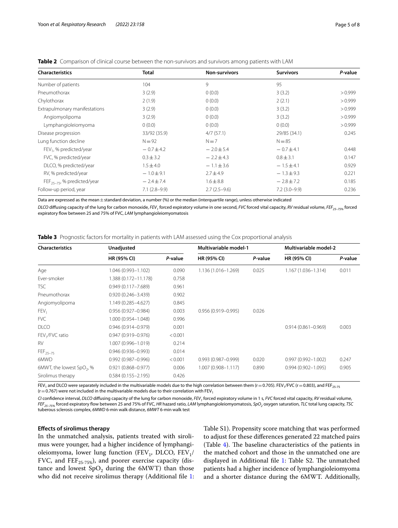| <b>Characteristics</b>              | <b>Total</b>   | <b>Non-survivors</b> | <b>Survivors</b> | P-value |
|-------------------------------------|----------------|----------------------|------------------|---------|
| Number of patients                  | 104            | 9                    | 95               |         |
| Pneumothorax                        | 3(2.9)         | 0(0.0)               | 3(3.2)           | > 0.999 |
| Chylothorax                         | 2(1.9)         | 0(0.0)               | 2(2.1)           | > 0.999 |
| Extrapulmonary manifestations       | 3(2.9)         | 0(0.0)               | 3(3.2)           | > 0.999 |
| Angiomyolipoma                      | 3(2.9)         | 0(0.0)               | 3(3.2)           | > 0.999 |
| Lymphangioleiomyoma                 | 0(0.0)         | 0(0.0)               | 0(0.0)           | > 0.999 |
| Disease progression                 | 33/92 (35.9)   | 4/7(57.1)            | 29/85 (34.1)     | 0.245   |
| Lung function decline               | $N = 92$       | $N=7$                | $N = 85$         |         |
| FEV <sub>1</sub> , % predicted/year | $-0.7 \pm 4.2$ | $-2.0 \pm 5.4$       | $-0.7 \pm 4.1$   | 0.448   |
| FVC, % predicted/year               | $0.3 \pm 3.2$  | $-2.2 \pm 4.3$       | $0.8 \pm 3.1$    | 0.147   |
| DLCO, % predicted/year              | $1.5 \pm 4.0$  | $-1.1 \pm 3.6$       | $-1.5 \pm 4.1$   | 0.929   |
| RV, % predicted/year                | $-1.0 \pm 9.1$ | $2.7 \pm 4.9$        | $-1.3 \pm 9.3$   | 0.221   |
| $FEF_{25-75}$ , % predicted/year    | $-2.4 \pm 7.4$ | $1.6 \pm 8.8$        | $-2.8 \pm 7.2$   | 0.185   |
| Follow-up period, year              | $7.1(2.8-9.9)$ | $2.7(2.5-9.6)$       | $7.2(3.0-9.9)$   | 0.236   |

<span id="page-4-0"></span>**Table 2** Comparison of clinical course between the non-survivors and survivors among patients with LAM

Data are expressed as the mean  $\pm$  standard deviation, a number (%) or the median (interquartile range), unless otherwise indicated

*DLCO* difusing capacity of the lung for carbon monoxide, *FEV1* forced expiratory volume in one second, *FVC* forced vital capacity, *RV* residual volume, *FEF25–75%* forced expiratory flow between 25 and 75% of FVC, *LAM* lymphangioleiomyomatosis

<span id="page-4-1"></span>

| <b>Table 3</b> Prognostic factors for mortality in patients with LAM assessed using the Cox proportional analysis |  |  |  |  |
|-------------------------------------------------------------------------------------------------------------------|--|--|--|--|
|                                                                                                                   |  |  |  |  |

| <b>Characteristics</b>                | Unadjusted             |         | <b>Multivariable model-1</b> |         | Multivariable model-2  |         |
|---------------------------------------|------------------------|---------|------------------------------|---------|------------------------|---------|
|                                       | HR (95% CI)            | P-value | HR (95% CI)                  | P-value | HR (95% CI)            | P-value |
| Age                                   | 1.046 (0.993-1.102)    | 0.090   | 1.136 (1.016-1.269)          | 0.025   | 1.167 (1.036-1.314)    | 0.011   |
| Ever-smoker                           | 1.388 (0.172-11.178)   | 0.758   |                              |         |                        |         |
| <b>TSC</b>                            | $0.949(0.117 - 7.689)$ | 0.961   |                              |         |                        |         |
| Pneumothorax                          | $0.920(0.246 - 3.439)$ | 0.902   |                              |         |                        |         |
| Angiomyolipoma                        | 1.149 (0.285-4.627)    | 0.845   |                              |         |                        |         |
| FEV <sub>1</sub>                      | $0.956(0.927 - 0.984)$ | 0.003   | $0.956(0.919 - 0.995)$       | 0.026   |                        |         |
| <b>FVC</b>                            | 1.000 (0.954-1.048)    | 0.996   |                              |         |                        |         |
| <b>DLCO</b>                           | $0.946(0.914 - 0.979)$ | 0.001   |                              |         | $0.914(0.861 - 0.969)$ | 0.003   |
| $FEV1/FVC$ ratio                      | $0.947(0.919 - 0.976)$ | < 0.001 |                              |         |                        |         |
| <b>RV</b>                             | 1.007 (0.996-1.019)    | 0.214   |                              |         |                        |         |
| $FEF_{25-75}$                         | $0.946(0.936 - 0.993)$ | 0.014   |                              |         |                        |         |
| 6MWD                                  | $0.992(0.987 - 0.996)$ | < 0.001 | $0.993(0.987 - 0.999)$       | 0.020   | $0.997(0.992 - 1.002)$ | 0.247   |
| 6MWT, the lowest SpO <sub>2</sub> , % | $0.921(0.868 - 0.977)$ | 0.006   | $1.007(0.908 - 1.117)$       | 0.890   | $0.994(0.902 - 1.095)$ | 0.905   |
| Sirolimus therapy                     | $0.584(0.155 - 2.195)$ | 0.426   |                              |         |                        |         |

FEV<sub>1</sub> and DLCO were separately included in the multivariable models due to the high correlation between them (r=0.705). FEV<sub>1</sub>/FVC (r=0.803), and FEF<sub>25-75</sub>  $(r=0.767)$  were not included in the multivariable models due to their correlation with FEV<sub>1</sub>

*CI* confdence interval, *DLCO* difusing capacity of the lung for carbon monoxide, *FEV1* forced expiratory volume in 1 s, *FVC* forced vital capacity, *RV* residual volume, *FEF<sub>25-75%</sub>* forced expiratory flow between 25 and 75% of FVC, *HR* hazard ratio, *LAM* lymphangioleiomyomatosis, *SpO<sub>2</sub>* oxygen saturation, *TLC* total lung capacity, *TSC* tuberous sclerosis complex, *6MWD* 6-min walk distance, *6MWT* 6-min walk test

### **Efects of sirolimus therapy**

In the unmatched analysis, patients treated with sirolimus were younger, had a higher incidence of lymphangioleiomyoma, lower lung function (FEV<sub>1</sub>, DLCO, FEV<sub>1</sub>/ FVC, and  $\text{FEF}_{25-75\%}$ ), and poorer exercise capacity (distance and lowest  $SpO<sub>2</sub>$  during the 6MWT) than those who did not receive sirolimus therapy (Additional file [1](#page-6-0): Table S1). Propensity score matching that was performed to adjust for these diferences generated 22 matched pairs (Table  $4$ ). The baseline characteristics of the patients in the matched cohort and those in the unmatched one are displayed in Additional file  $1$ : Table S2. The unmatched patients had a higher incidence of lymphangioleiomyoma and a shorter distance during the 6MWT. Additionally,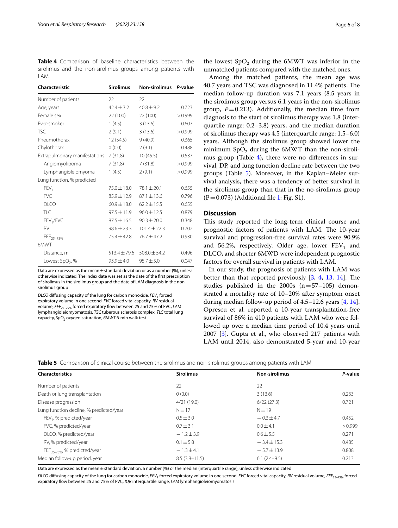<span id="page-5-0"></span>**Table 4** Comparison of baseline characteristics between the sirolimus and the non-sirolimus groups among patients with LAM

| Characteristic                | <b>Sirolimus</b> | <b>Non-sirolimus</b> | P-value |
|-------------------------------|------------------|----------------------|---------|
| Number of patients            | 22               | 22                   |         |
| Age, years                    | $42.4 \pm 3.2$   | $40.8 \pm 9.2$       | 0.723   |
| Female sex                    | 22 (100)         | 22 (100)             | > 0.999 |
| Ever-smoker                   | 1(4.5)           | 3(13.6)              | 0.607   |
| TSC.                          | 2(9.1)           | 3(13.6)              | > 0.999 |
| Pneumothorax                  | 12 (54.5)        | 9(40.9)              | 0.365   |
| Chylothorax                   | 0(0.0)           | 2(9.1)               | 0.488   |
| Extrapulmonary manifestations | 7 (31.8)         | 10(45.5)             | 0.537   |
| Angiomyolipoma                | 7(31.8)          | 7(31.8)              | >0.999  |
| Lymphangioleiomyoma           | 1(4.5)           | 2(9.1)               | > 0.999 |
| Lung function, % predicted    |                  |                      |         |
| FEV <sub>1</sub>              | 75.0 ± 18.0      | $78.1 \pm 20.1$      | 0.655   |
| <b>FVC</b>                    | $85.9 \pm 12.9$  | $87.1 \pm 13.6$      | 0.796   |
| DI CO                         | $60.9 \pm 18.0$  | $62.2 \pm 15.5$      | 0.655   |
| TI C                          | $97.5 \pm 11.9$  | $96.0 \pm 12.5$      | 0.879   |
| FEV <sub>1</sub> /FVC         | $87.5 \pm 16.5$  | $90.3 \pm 20.0$      | 0.348   |
| <b>RV</b>                     | $98.6 \pm 23.3$  | $101.4 \pm 22.3$     | 0.702   |
| FEF <sub>25-75%</sub>         | $75.4 \pm 42.8$  | $76.7 \pm 47.2$      | 0.930   |
| 6MWT                          |                  |                      |         |
| Distance, m                   | $513.4 \pm 79.6$ | $508.0 \pm 54.2$     | 0.496   |
| Lowest $SpO2$ , %             | $93.9 \pm 4.0$   | $95.7 \pm 5.0$       | 0.047   |
|                               |                  |                      |         |

Data are expressed as the mean  $\pm$  standard deviation or as a number (%), unless otherwise indicated. The index date was set as the date of the frst prescription of sirolimus in the sirolimus group and the date of LAM diagnosis in the nonsirolimus group

*DLCO* diffusing capacity of the lung for carbon monoxide, *FEV<sub>1</sub>* forced expiratory volume in one second, *FVC* forced vital capacity, *RV* residual volume, FEF<sub>25-75%</sub> forced expiratory flow between 25 and 75% of FVC, LAM lymphangioleiomyomatosis, *TSC* tuberous sclerosis complex, *TLC* total lung capacity, *SpO*<sub>2</sub> oxygen saturation, 6MWT 6-min walk test

the lowest  $SpO<sub>2</sub>$  during the 6MWT was inferior in the unmatched patients compared with the matched ones.

Among the matched patients, the mean age was 40.7 years and TSC was diagnosed in 11.4% patients. The median follow-up duration was 7.1 years (8.5 years in the sirolimus group versus 6.1 years in the non-sirolimus group,  $P=0.213$ ). Additionally, the median time from diagnosis to the start of sirolimus therapy was 1.8 (interquartile range: 0.2–3.8) years, and the median duration of sirolimus therapy was 4.5 (interquartile range: 1.5–6.0) years. Although the sirolimus group showed lower the minimum  $SpO<sub>2</sub>$  during the 6MWT than the non-sirolimus group (Table  $4$ ), there were no differences in survival, DP, and lung function decline rate between the two groups (Table [5](#page-5-1)). Moreover, in the Kaplan–Meier survival analysis, there was a tendency of better survival in the sirolimus group than that in the no-sirolimus group  $(P=0.073)$  (Additional file [1:](#page-6-0) Fig. S1).

# **Discussion**

This study reported the long-term clinical course and prognostic factors of patients with LAM. The 10-year survival and progression-free survival rates were 90.9% and 56.2%, respectively. Older age, lower  $FEV<sub>1</sub>$  and DLCO, and shorter 6MWD were independent prognostic factors for overall survival in patients with LAM.

In our study, the prognosis of patients with LAM was better than that reported previously  $[3, 4, 13, 14]$  $[3, 4, 13, 14]$  $[3, 4, 13, 14]$  $[3, 4, 13, 14]$  $[3, 4, 13, 14]$  $[3, 4, 13, 14]$  $[3, 4, 13, 14]$ . The studies published in the  $2000s$  (n=57-105) demonstrated a mortality rate of 10–20% after symptom onset during median follow-up period of 4.5–12.6 years [[4,](#page-7-5) [14](#page-7-12)]. Oprescu et al. reported a 10-year transplantation-free survival of 86% in 410 patients with LAM who were followed up over a median time period of 10.4 years until 2007 [[3](#page-7-2)]. Gupta et al., who observed 217 patients with LAM until 2014, also demonstrated 5-year and 10-year

<span id="page-5-1"></span>

|  |  |  |  | Table 5 Comparison of clinical course between the sirolimus and non-sirolimus groups among patients with LAM |  |  |  |  |
|--|--|--|--|--------------------------------------------------------------------------------------------------------------|--|--|--|--|
|--|--|--|--|--------------------------------------------------------------------------------------------------------------|--|--|--|--|

| <b>Characteristics</b>                   | <b>Sirolimus</b>  | <b>Non-sirolimus</b> | P-value |
|------------------------------------------|-------------------|----------------------|---------|
| Number of patients                       | 22                | 22                   |         |
| Death or lung transplantation            | 0(0.0)            | 3(13.6)              | 0.233   |
| Disease progression                      | 4/21(19.0)        | 6/22(27.3)           | 0.721   |
| Lung function decline, % predicted/year  | $N = 17$          | $N = 19$             |         |
| FEV <sub>1</sub> , % predicted/year      | $0.5 \pm 3.0$     | $-0.3 \pm 4.7$       | 0.452   |
| FVC, % predicted/year                    | $0.7 \pm 3.1$     | $0.0 + 4.1$          | > 0.999 |
| DLCO, % predicted/year                   | $-1.2 \pm 3.9$    | $0.6 + 5.5$          | 0.271   |
| RV, % predicted/year                     | $0.1 \pm 5.8$     | $-3.4 \pm 15.3$      | 0.485   |
| FEF <sub>25-75%</sub> , % predicted/year | $-1.3 \pm 4.1$    | $-5.7 \pm 13.9$      | 0.808   |
| Median follow-up period, year            | $8.5(3.8 - 11.5)$ | $6.1(2.4-9.5)$       | 0.213   |

Data are expressed as the mean±standard deviation, a number (%) or the median (interquartile range), unless otherwise indicated

*DLCO* difusing capacity of the lung for carbon monoxide, *FEV1* forced expiratory volume in one second, *FVC* forced vital capacity, *RV* residual volume, *FEF25–75%* forced expiratory fow between 25 and 75% of FVC, *IQR* interquartile range, *LAM* lymphangioleiomyomatosis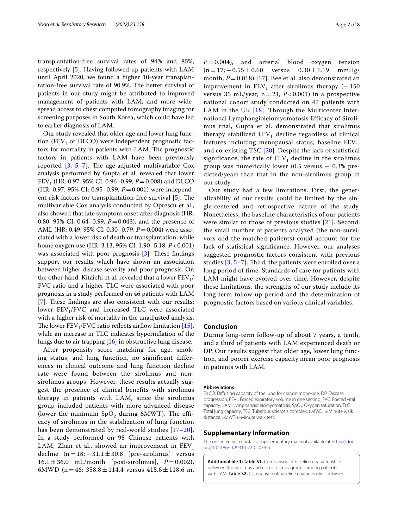transplantation-free survival rates of 94% and 85%, respectively [[5\]](#page-7-4). Having followed up patients with LAM until April 2020, we found a higher 10-year transplantation-free survival rate of 90.9%. The better survival of patients in our study might be attributed to improved management of patients with LAM, and more widespread access to chest computed tomography imaging for screening purposes in South Korea, which could have led to earlier diagnosis of LAM.

Our study revealed that older age and lower lung function (FEV<sub>1</sub> or DLCO) were independent prognostic factors for mortality in patients with LAM. The prognostic factors in patients with LAM have been previously reported  $[3, 5-7]$  $[3, 5-7]$  $[3, 5-7]$  $[3, 5-7]$ . The age-adjusted multivariable Cox analysis performed by Gupta et al. revealed that lower FEV<sub>1</sub> (HR: 0.97, 95% CI: 0.96–0.99,  $P = 0.008$ ) and DLCO (HR: 0.97, 95% CI: 0.95–0.99, *P*=0.001) were independent risk factors for transplantation-free survival  $[5]$  $[5]$  $[5]$ . The multivariable Cox analysis conducted by Oprescu et al., also showed that late symptom onset after diagnosis (HR: 0.80, 95% CI: 0.64–0.99, *P*=0.043), and the presence of AML (HR: 0.49, 95% CI: 0.30–0.79, *P*=0.004) were associated with a lower risk of death or transplantation, while home oxygen use (HR: 3.13, 95% CI: 1.90–5.18, *P*<0.001) was associated with poor prognosis  $[3]$  $[3]$ . These findings support our results which have shown an association between higher disease severity and poor prognosis. On the other hand, Kitaichi et al. revealed that a lower  $FEV<sub>1</sub>/$ FVC ratio and a higher TLC were associated with poor prognosis in a study performed on 46 patients with LAM [[7\]](#page-7-7). These findings are also consistent with our results; lower  $FEV<sub>1</sub>/FVC$  and increased TLC were associated with a higher risk of mortality in the unadjusted analysis. The lower  $FEV_1/FVC$  ratio reflects airflow limitation [\[15](#page-7-13)], while an increase in TLC indicates hyperinfation of the lungs due to air trapping [\[16](#page-7-14)] in obstructive lung disease.

After propensity score matching for age, smoking status, and lung function, no significant differences in clinical outcome and lung function decline rate were found between the sirolimus and nonsirolimus groups. However, these results actually suggest the presence of clinical benefits with sirolimus therapy in patients with LAM, since the sirolimus group included patients with more advanced disease (lower the minimum  $SpO<sub>2</sub>$  during 6MWT). The efficacy of sirolimus in the stabilization of lung function has been demonstrated by real-world studies [\[17–](#page-7-15)[20\]](#page-7-16). In a study performed on 98 Chinese patients with LAM, Zhan et al., showed an improvement in  $FEV<sub>1</sub>$ decline  $(n = 18; -31.1 \pm 30.8)$  [pre-sirolimus] versus 16.1  $\pm$  36.0 mL/month [post-sirolimus],  $P = 0.002$ ), 6MWD (n = 46;  $358.8 \pm 114.4$  versus  $415.6 \pm 118.6$  m,  $P = 0.004$ , and arterial blood oxygen tension  $(n = 17, -0.55 \pm 0.60$  versus  $0.30 \pm 1.19$  mmHg/ month,  $P = 0.018$ ) [[17](#page-7-15)]. Bee et al. also demonstrated an improvement in  $FEV_1$  after sirolimus therapy (-150 versus 35 mL/year,  $n = 21$ ,  $P < 0.001$ ) in a prospective national cohort study conducted on 47 patients with LAM in the UK  $[18]$  $[18]$  $[18]$ . Through the Multicenter International Lymphangioleiomyomatosis Efficacy of Sirolimus trial, Gupta et al. demonstrated that sirolimus therapy stabilized  $FEV<sub>1</sub>$  decline regardless of clinical features including menopausal status, baseline  $FEV<sub>1</sub>$ , and co-existing TSC [\[20\]](#page-7-16). Despite the lack of statistical significance, the rate of  $FEV<sub>1</sub>$  decline in the sirolimus group was numerically lower  $(0.5 \text{ versus } -0.3\% \text{ pre-}$ dicted/year) than that in the non-sirolimus group in our study.

Our study had a few limitations. First, the generalizability of our results could be limited by the single-centered and retrospective nature of the study. Nonetheless, the baseline characteristics of our patients were similar to those of previous studies [\[21](#page-7-18)]. Second, the small number of patients analyzed (the non-survivors and the matched patients) could account for the lack of statistical signifcance. However, our analyses suggested prognostic factors consistent with previous studies  $[3, 5-7]$  $[3, 5-7]$  $[3, 5-7]$  $[3, 5-7]$ . Third, the patients were enrolled over a long period of time. Standards of care for patients with LAM might have evolved over time. However, despite these limitations, the strengths of our study include its long-term follow-up period and the determination of prognostic factors based on various clinical variables.

### **Conclusion**

During long-term follow-up of about 7 years, a tenth, and a third of patients with LAM experienced death or DP. Our results suggest that older age, lower lung function, and poorer exercise capacity mean poor prognosis in patients with LAM.

#### **Abbreviations**

DLCO: Difusing capacity of the lung for carbon monoxide; DP: Disease progression; FEV<sub>1</sub>: Forced expiratory volume in one second; FVC: Forced vital capacity; LAM: Lymphangioleiomyomatosis; SpO<sub>2</sub>: Oxygen saturation; TLC: Total lung capacity; TSC: Tuberous sclerosis complex; 6MWD: 6-Minute walk distance; 6MWT: 6-Minute walk test.

## **Supplementary Information**

The online version contains supplementary material available at [https://doi.](https://doi.org/10.1186/s12931-022-02079-6) [org/10.1186/s12931-022-02079-6](https://doi.org/10.1186/s12931-022-02079-6).

<span id="page-6-0"></span>**Additional fle 1: Table S1.** Comparison of baseline characteristics between the sirolimus and non-sirolimus groups among patients with LAM. **Table S2.** Comparison of baseline characteristics between